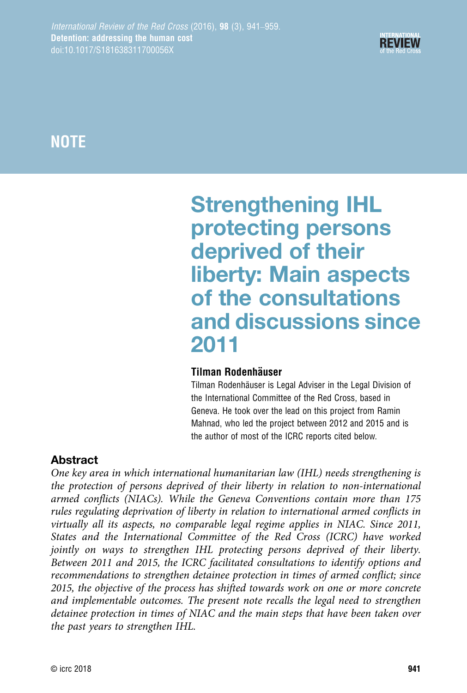

# <span id="page-0-0"></span>**NOTE**

Strengthening IHL protecting persons deprived of their liberty: Main aspects of the consultations and discussions since 2011

#### Tilman Rodenhäuser

Tilman Rodenhäuser is Legal Adviser in the Legal Division of the International Committee of the Red Cross, based in Geneva. He took over the lead on this project from Ramin Mahnad, who led the project between 2012 and 2015 and is the author of most of the ICRC reports cited below.

## Abstract

One key area in which international humanitarian law (IHL) needs strengthening is the protection of persons deprived of their liberty in relation to non-international armed conflicts (NIACs). While the Geneva Conventions contain more than 175 rules regulating deprivation of liberty in relation to international armed conflicts in virtually all its aspects, no comparable legal regime applies in NIAC. Since 2011, States and the International Committee of the Red Cross (ICRC) have worked jointly on ways to strengthen IHL protecting persons deprived of their liberty. Between 2011 and 2015, the ICRC facilitated consultations to identify options and recommendations to strengthen detainee protection in times of armed conflict; since 2015, the objective of the process has shifted towards work on one or more concrete and implementable outcomes. The present note recalls the legal need to strengthen detainee protection in times of NIAC and the main steps that have been taken over the past years to strengthen IHL.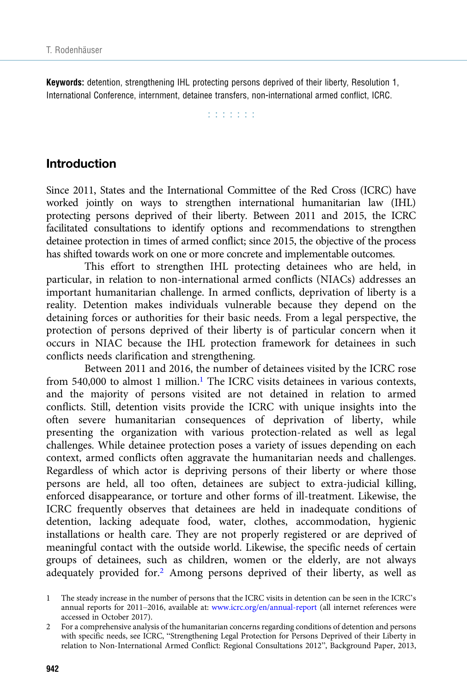Keywords: detention, strengthening IHL protecting persons deprived of their liberty, Resolution 1, International Conference, internment, detainee transfers, non-international armed conflict, ICRC.

**Editoria** 

## Introduction

Since 2011, States and the International Committee of the Red Cross (ICRC) have worked jointly on ways to strengthen international humanitarian law (IHL) protecting persons deprived of their liberty. Between 2011 and 2015, the ICRC facilitated consultations to identify options and recommendations to strengthen detainee protection in times of armed conflict; since 2015, the objective of the process has shifted towards work on one or more concrete and implementable outcomes.

This effort to strengthen IHL protecting detainees who are held, in particular, in relation to non-international armed conflicts (NIACs) addresses an important humanitarian challenge. In armed conflicts, deprivation of liberty is a reality. Detention makes individuals vulnerable because they depend on the detaining forces or authorities for their basic needs. From a legal perspective, the protection of persons deprived of their liberty is of particular concern when it occurs in NIAC because the IHL protection framework for detainees in such conflicts needs clarification and strengthening.

Between 2011 and 2016, the number of detainees visited by the ICRC rose from 540,000 to almost [1](#page-0-0) million.<sup>1</sup> The ICRC visits detainees in various contexts, and the majority of persons visited are not detained in relation to armed conflicts. Still, detention visits provide the ICRC with unique insights into the often severe humanitarian consequences of deprivation of liberty, while presenting the organization with various protection-related as well as legal challenges. While detainee protection poses a variety of issues depending on each context, armed conflicts often aggravate the humanitarian needs and challenges. Regardless of which actor is depriving persons of their liberty or where those persons are held, all too often, detainees are subject to extra-judicial killing, enforced disappearance, or torture and other forms of ill-treatment. Likewise, the ICRC frequently observes that detainees are held in inadequate conditions of detention, lacking adequate food, water, clothes, accommodation, hygienic installations or health care. They are not properly registered or are deprived of meaningful contact with the outside world. Likewise, the specific needs of certain groups of detainees, such as children, women or the elderly, are not always adequately provided for[.2](#page-0-0) Among persons deprived of their liberty, as well as

<sup>1</sup> The steady increase in the number of persons that the ICRC visits in detention can be seen in the ICRC's annual reports for 2011–2016, available at: [www.icrc.org/en/annual-report](http://www.icrc.org/en/annual-report) (all internet references were accessed in October 2017).

<sup>2</sup> For a comprehensive analysis of the humanitarian concerns regarding conditions of detention and persons with specific needs, see ICRC, "Strengthening Legal Protection for Persons Deprived of their Liberty in relation to Non-International Armed Conflict: Regional Consultations 2012", Background Paper, 2013,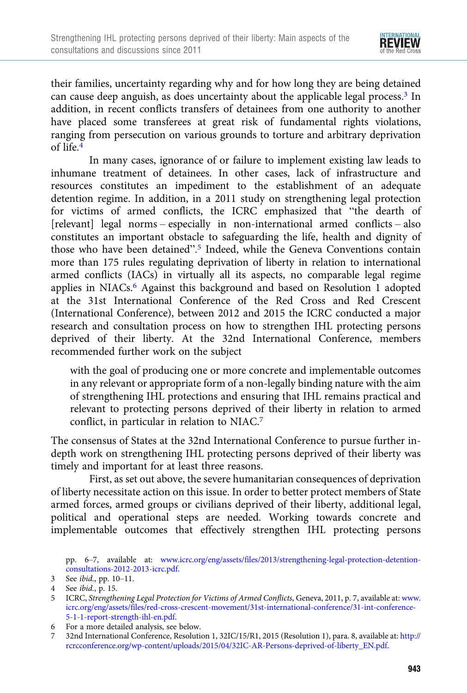

their families, uncertainty regarding why and for how long they are being detained can cause deep anguish, as does uncertainty about the applicable legal process.<sup>[3](#page-0-0)</sup> In addition, in recent conflicts transfers of detainees from one authority to another have placed some transferees at great risk of fundamental rights violations, ranging from persecution on various grounds to torture and arbitrary deprivation of life.[4](#page-0-0)

In many cases, ignorance of or failure to implement existing law leads to inhumane treatment of detainees. In other cases, lack of infrastructure and resources constitutes an impediment to the establishment of an adequate detention regime. In addition, in a 2011 study on strengthening legal protection for victims of armed conflicts, the ICRC emphasized that "the dearth of [relevant] legal norms – especially in non-international armed conflicts – also constitutes an important obstacle to safeguarding the life, health and dignity of those who have been detained". [5](#page-0-0) Indeed, while the Geneva Conventions contain more than 175 rules regulating deprivation of liberty in relation to international armed conflicts (IACs) in virtually all its aspects, no comparable legal regime applies in NIACs.<sup>[6](#page-0-0)</sup> Against this background and based on Resolution 1 adopted at the 31st International Conference of the Red Cross and Red Crescent (International Conference), between 2012 and 2015 the ICRC conducted a major research and consultation process on how to strengthen IHL protecting persons deprived of their liberty. At the 32nd International Conference, members recommended further work on the subject

with the goal of producing one or more concrete and implementable outcomes in any relevant or appropriate form of a non-legally binding nature with the aim of strengthening IHL protections and ensuring that IHL remains practical and relevant to protecting persons deprived of their liberty in relation to armed conflict, in particular in relation to NIAC.[7](#page-0-0)

The consensus of States at the 32nd International Conference to pursue further indepth work on strengthening IHL protecting persons deprived of their liberty was timely and important for at least three reasons.

First, as set out above, the severe humanitarian consequences of deprivation of liberty necessitate action on this issue. In order to better protect members of State armed forces, armed groups or civilians deprived of their liberty, additional legal, political and operational steps are needed. Working towards concrete and implementable outcomes that effectively strengthen IHL protecting persons

6 For a more detailed analysis, see below.

pp. 6–7, available at: [www.icrc.org/eng/assets/files/2013/strengthening-legal-protection-detention](http://www.icrc.org/eng/assets/files/2013/strengthening-legal-protection-detention-consultations-2012-2013-icrc.pdf)[consultations-2012-2013-icrc.pdf](http://www.icrc.org/eng/assets/files/2013/strengthening-legal-protection-detention-consultations-2012-2013-icrc.pdf).

<sup>3</sup> See ibid., pp. 10–11.

<sup>4</sup> See ibid., p. 15.

<sup>5</sup> ICRC, Strengthening Legal Protection for Victims of Armed Conflicts, Geneva, 2011, p. 7, available at: [www.](http://www.icrc.org/eng/assets/files/red-cross-crescent-movement/31st-international-conference/31-int-conference-5-1-1-report-strength-ihl-en.pdf) [icrc.org/eng/assets/files/red-cross-crescent-movement/31st-international-conference/31-int-conference-](http://www.icrc.org/eng/assets/files/red-cross-crescent-movement/31st-international-conference/31-int-conference-5-1-1-report-strength-ihl-en.pdf)[5-1-1-report-strength-ihl-en.pdf.](http://www.icrc.org/eng/assets/files/red-cross-crescent-movement/31st-international-conference/31-int-conference-5-1-1-report-strength-ihl-en.pdf)

<sup>7 32</sup>nd International Conference, Resolution 1, 32IC/15/R1, 2015 (Resolution 1), para. 8, available at: [http://](http://rcrcconference.org/wp-content/uploads/2015/04/32IC-AR-Persons-deprived-of-liberty_EN.pdf) [rcrcconference.org/wp-content/uploads/2015/04/32IC-AR-Persons-deprived-of-liberty\\_EN.pdf](http://rcrcconference.org/wp-content/uploads/2015/04/32IC-AR-Persons-deprived-of-liberty_EN.pdf).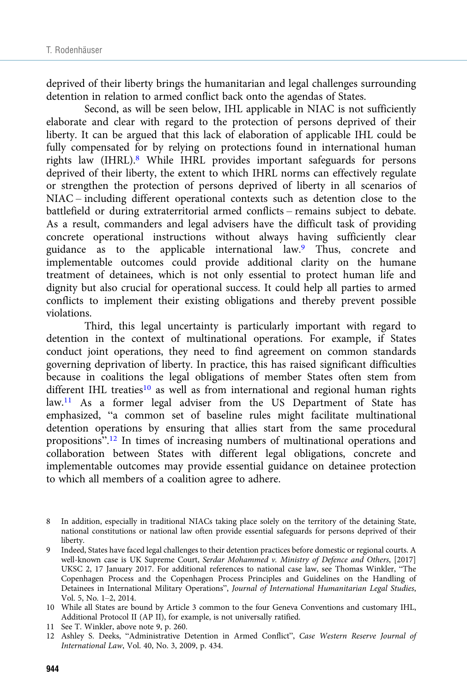deprived of their liberty brings the humanitarian and legal challenges surrounding detention in relation to armed conflict back onto the agendas of States.

Second, as will be seen below, IHL applicable in NIAC is not sufficiently elaborate and clear with regard to the protection of persons deprived of their liberty. It can be argued that this lack of elaboration of applicable IHL could be fully compensated for by relying on protections found in international human rights law (IHRL).[8](#page-0-0) While IHRL provides important safeguards for persons deprived of their liberty, the extent to which IHRL norms can effectively regulate or strengthen the protection of persons deprived of liberty in all scenarios of NIAC – including different operational contexts such as detention close to the battlefield or during extraterritorial armed conflicts – remains subject to debate. As a result, commanders and legal advisers have the difficult task of providing concrete operational instructions without always having sufficiently clear guidance as to the applicable international law[.9](#page-0-0) Thus, concrete and implementable outcomes could provide additional clarity on the humane treatment of detainees, which is not only essential to protect human life and dignity but also crucial for operational success. It could help all parties to armed conflicts to implement their existing obligations and thereby prevent possible violations.

Third, this legal uncertainty is particularly important with regard to detention in the context of multinational operations. For example, if States conduct joint operations, they need to find agreement on common standards governing deprivation of liberty. In practice, this has raised significant difficulties because in coalitions the legal obligations of member States often stem from different IHL treaties<sup>[10](#page-0-0)</sup> as well as from international and regional human rights law[.11](#page-0-0) As a former legal adviser from the US Department of State has emphasized, "a common set of baseline rules might facilitate multinational detention operations by ensuring that allies start from the same procedural propositions".<sup>[12](#page-0-0)</sup> In times of increasing numbers of multinational operations and collaboration between States with different legal obligations, concrete and implementable outcomes may provide essential guidance on detainee protection to which all members of a coalition agree to adhere.

11 See T. Winkler, above note 9, p. 260.

<sup>8</sup> In addition, especially in traditional NIACs taking place solely on the territory of the detaining State, national constitutions or national law often provide essential safeguards for persons deprived of their liberty.

<sup>9</sup> Indeed, States have faced legal challenges to their detention practices before domestic or regional courts. A well-known case is UK Supreme Court, Serdar Mohammed v. Ministry of Defence and Others, [2017] UKSC 2, 17 January 2017. For additional references to national case law, see Thomas Winkler, "The Copenhagen Process and the Copenhagen Process Principles and Guidelines on the Handling of Detainees in International Military Operations", Journal of International Humanitarian Legal Studies, Vol. 5, No. 1–2, 2014.

<sup>10</sup> While all States are bound by Article 3 common to the four Geneva Conventions and customary IHL, Additional Protocol II (AP II), for example, is not universally ratified.

<sup>12</sup> Ashley S. Deeks, "Administrative Detention in Armed Conflict", Case Western Reserve Journal of International Law, Vol. 40, No. 3, 2009, p. 434.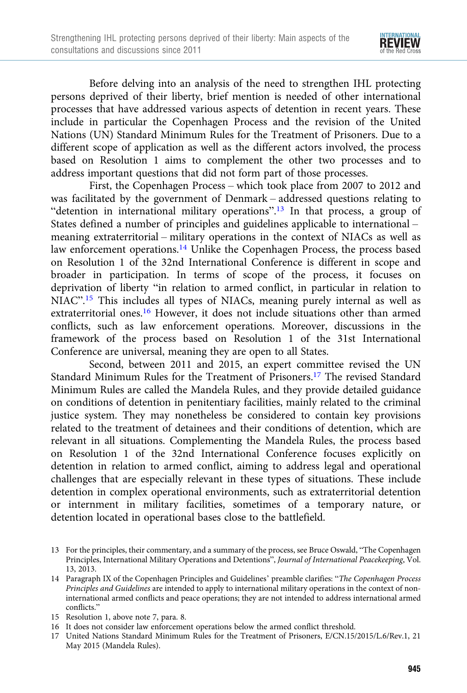

Before delving into an analysis of the need to strengthen IHL protecting persons deprived of their liberty, brief mention is needed of other international processes that have addressed various aspects of detention in recent years. These include in particular the Copenhagen Process and the revision of the United Nations (UN) Standard Minimum Rules for the Treatment of Prisoners. Due to a different scope of application as well as the different actors involved, the process based on Resolution 1 aims to complement the other two processes and to address important questions that did not form part of those processes.

First, the Copenhagen Process – which took place from 2007 to 2012 and was facilitated by the government of Denmark – addressed questions relating to "detention in international military operations".<sup>[13](#page-0-0)</sup> In that process, a group of States defined a number of principles and guidelines applicable to international – meaning extraterritorial – military operations in the context of NIACs as well as law enforcement operations.<sup>14</sup> Unlike the Copenhagen Process, the process based on Resolution 1 of the 32nd International Conference is different in scope and broader in participation. In terms of scope of the process, it focuses on deprivation of liberty "in relation to armed conflict, in particular in relation to NIAC".<sup>[15](#page-0-0)</sup> This includes all types of NIACs, meaning purely internal as well as extraterritorial ones.[16](#page-0-0) However, it does not include situations other than armed conflicts, such as law enforcement operations. Moreover, discussions in the framework of the process based on Resolution 1 of the 31st International Conference are universal, meaning they are open to all States.

Second, between 2011 and 2015, an expert committee revised the UN Standard Minimum Rules for the Treatment of Prisoners.[17](#page-0-0) The revised Standard Minimum Rules are called the Mandela Rules, and they provide detailed guidance on conditions of detention in penitentiary facilities, mainly related to the criminal justice system. They may nonetheless be considered to contain key provisions related to the treatment of detainees and their conditions of detention, which are relevant in all situations. Complementing the Mandela Rules, the process based on Resolution 1 of the 32nd International Conference focuses explicitly on detention in relation to armed conflict, aiming to address legal and operational challenges that are especially relevant in these types of situations. These include detention in complex operational environments, such as extraterritorial detention or internment in military facilities, sometimes of a temporary nature, or detention located in operational bases close to the battlefield.

<sup>13</sup> For the principles, their commentary, and a summary of the process, see Bruce Oswald, "The Copenhagen Principles, International Military Operations and Detentions", Journal of International Peacekeeping, Vol. 13, 2013.

<sup>14</sup> Paragraph IX of the Copenhagen Principles and Guidelines' preamble clarifies: "The Copenhagen Process Principles and Guidelines are intended to apply to international military operations in the context of noninternational armed conflicts and peace operations; they are not intended to address international armed conflicts."

<sup>15</sup> Resolution 1, above note 7, para. 8.

<sup>16</sup> It does not consider law enforcement operations below the armed conflict threshold.

<sup>17</sup> United Nations Standard Minimum Rules for the Treatment of Prisoners, E/CN.15/2015/L.6/Rev.1, 21 May 2015 (Mandela Rules).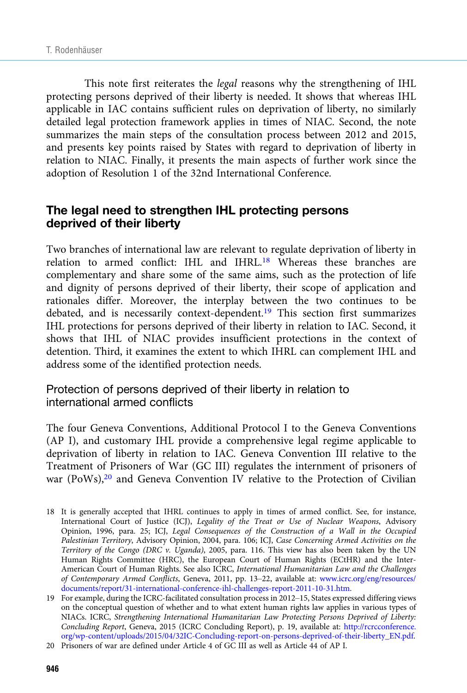This note first reiterates the legal reasons why the strengthening of IHL protecting persons deprived of their liberty is needed. It shows that whereas IHL applicable in IAC contains sufficient rules on deprivation of liberty, no similarly detailed legal protection framework applies in times of NIAC. Second, the note summarizes the main steps of the consultation process between 2012 and 2015, and presents key points raised by States with regard to deprivation of liberty in relation to NIAC. Finally, it presents the main aspects of further work since the adoption of Resolution 1 of the 32nd International Conference.

## The legal need to strengthen IHL protecting persons deprived of their liberty

Two branches of international law are relevant to regulate deprivation of liberty in relation to armed conflict: IHL and IHRL.18 Whereas these branches are complementary and share some of the same aims, such as the protection of life and dignity of persons deprived of their liberty, their scope of application and rationales differ. Moreover, the interplay between the two continues to be debated, and is necessarily context-dependent.<sup>19</sup> This section first summarizes IHL protections for persons deprived of their liberty in relation to IAC. Second, it shows that IHL of NIAC provides insufficient protections in the context of detention. Third, it examines the extent to which IHRL can complement IHL and address some of the identified protection needs.

#### Protection of persons deprived of their liberty in relation to international armed conflicts

The four Geneva Conventions, Additional Protocol I to the Geneva Conventions (AP I), and customary IHL provide a comprehensive legal regime applicable to deprivation of liberty in relation to IAC. Geneva Convention III relative to the Treatment of Prisoners of War (GC III) regulates the internment of prisoners of war (PoWs),<sup>20</sup> and Geneva Convention IV relative to the Protection of Civilian

<sup>18</sup> It is generally accepted that IHRL continues to apply in times of armed conflict. See, for instance, International Court of Justice (ICJ), Legality of the Treat or Use of Nuclear Weapons, Advisory Opinion, 1996, para. 25; ICJ, Legal Consequences of the Construction of a Wall in the Occupied Palestinian Territory, Advisory Opinion, 2004, para. 106; ICJ, Case Concerning Armed Activities on the Territory of the Congo (DRC v. Uganda), 2005, para. 116. This view has also been taken by the UN Human Rights Committee (HRC), the European Court of Human Rights (ECtHR) and the Inter-American Court of Human Rights. See also ICRC, International Humanitarian Law and the Challenges of Contemporary Armed Conflicts, Geneva, 2011, pp. 13–22, available at: [www.icrc.org/eng/resources/](http://www.icrc.org/eng/resources/documents/report/31-international-conference-ihl-challenges-report-2011-10-31.htm) [documents/report/31-international-conference-ihl-challenges-report-2011-10-31.htm](http://www.icrc.org/eng/resources/documents/report/31-international-conference-ihl-challenges-report-2011-10-31.htm).

<sup>19</sup> For example, during the ICRC-facilitated consultation process in 2012–15, States expressed differing views on the conceptual question of whether and to what extent human rights law applies in various types of NIACs. ICRC, Strengthening International Humanitarian Law Protecting Persons Deprived of Liberty: Concluding Report, Geneva, 2015 (ICRC Concluding Report), p. 19, available at: [http://rcrcconference.](http://rcrcconference.org/wp-content/uploads/2015/04/32IC-Concluding-report-on-persons-deprived-of-their-liberty_EN.pdf) [org/wp-content/uploads/2015/04/32IC-Concluding-report-on-persons-deprived-of-their-liberty\\_EN.pdf](http://rcrcconference.org/wp-content/uploads/2015/04/32IC-Concluding-report-on-persons-deprived-of-their-liberty_EN.pdf).

<sup>20</sup> Prisoners of war are defined under Article 4 of GC III as well as Article 44 of AP I.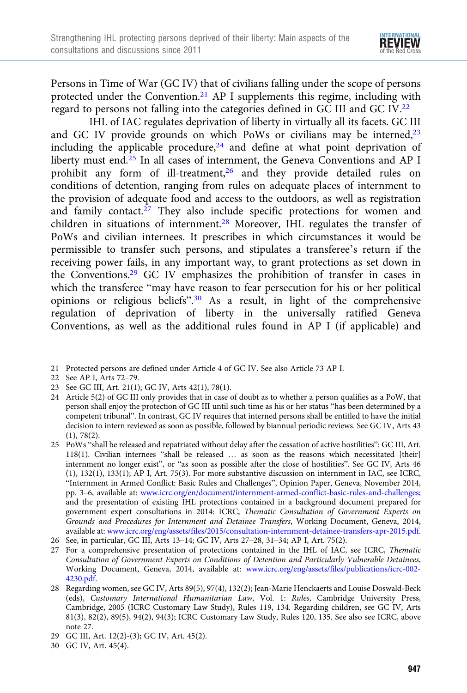

Persons in Time of War (GC IV) that of civilians falling under the scope of persons protected under the Convention.<sup>21</sup> AP I supplements this regime, including with regard to persons not falling into the categories defined in GC III and GC IV.<sup>22</sup>

IHL of IAC regulates deprivation of liberty in virtually all its facets. GC III and GC IV provide grounds on which PoWs or civilians may be interned,<sup>23</sup> including the applicable procedure, $24$  and define at what point deprivation of liberty must end.<sup>25</sup> In all cases of internment, the Geneva Conventions and AP I prohibit any form of ill-treatment,<sup>26</sup> and they provide detailed rules on conditions of detention, ranging from rules on adequate places of internment to the provision of adequate food and access to the outdoors, as well as registration and family contact. $27$  They also include specific protections for women and children in situations of internment.28 Moreover, IHL regulates the transfer of PoWs and civilian internees. It prescribes in which circumstances it would be permissible to transfer such persons, and stipulates a transferee's return if the receiving power fails, in any important way, to grant protections as set down in the Conventions.29 GC IV emphasizes the prohibition of transfer in cases in which the transferee "may have reason to fear persecution for his or her political opinions or religious beliefs". 30 As a result, in light of the comprehensive regulation of deprivation of liberty in the universally ratified Geneva Conventions, as well as the additional rules found in AP I (if applicable) and

- 21 Protected persons are defined under Article 4 of GC IV. See also Article 73 AP I.
- 22 See AP I, Arts 72–79.
- 23 See GC III, Art. 21(1); GC IV, Arts 42(1), 78(1).
- 24 Article 5(2) of GC III only provides that in case of doubt as to whether a person qualifies as a PoW, that person shall enjoy the protection of GC III until such time as his or her status "has been determined by a competent tribunal". In contrast, GC IV requires that interned persons shall be entitled to have the initial decision to intern reviewed as soon as possible, followed by biannual periodic reviews. See GC IV, Arts 43 (1), 78(2).
- 25 PoWs "shall be released and repatriated without delay after the cessation of active hostilities": GC III, Art. 118(1). Civilian internees "shall be released … as soon as the reasons which necessitated [their] internment no longer exist", or "as soon as possible after the close of hostilities". See GC IV, Arts 46 (1), 132(1), 133(1); AP I, Art. 75(3). For more substantive discussion on internment in IAC, see ICRC, "Internment in Armed Conflict: Basic Rules and Challenges", Opinion Paper, Geneva, November 2014, pp. 3–6, available at: [www.icrc.org/en/document/internment-armed-conflict-basic-rules-and-challenges](http://www.icrc.org/en/document/internment-armed-conflict-basic-rules-and-challenges); and the presentation of existing IHL protections contained in a background document prepared for government expert consultations in 2014: ICRC, Thematic Consultation of Government Experts on Grounds and Procedures for Internment and Detainee Transfers, Working Document, Geneva, 2014, available at: [www.icrc.org/eng/assets/files/2015/consultation-internment-detainee-transfers-apr-2015.pdf](http://www.icrc.org/eng/assets/files/2015/consultation-internment-detainee-transfers-apr-2015.pdf).
- 26 See, in particular, GC III, Arts 13–14; GC IV, Arts 27–28, 31–34; AP I, Art. 75(2).
- 27 For a comprehensive presentation of protections contained in the IHL of IAC, see ICRC, Thematic Consultation of Government Experts on Conditions of Detention and Particularly Vulnerable Detainees, Working Document, Geneva, 2014, available at: [www.icrc.org/eng/assets/files/publications/icrc-002-](http://www.icrc.org/eng/assets/files/publications/icrc-002-4230.pdf) [4230.pdf.](http://www.icrc.org/eng/assets/files/publications/icrc-002-4230.pdf)
- 28 Regarding women, see GC IV, Arts 89(5), 97(4), 132(2); Jean-Marie Henckaerts and Louise Doswald-Beck (eds), Customary International Humanitarian Law, Vol. 1: Rules, Cambridge University Press, Cambridge, 2005 (ICRC Customary Law Study), Rules 119, 134. Regarding children, see GC IV, Arts 81(3), 82(2), 89(5), 94(2), 94(3); ICRC Customary Law Study, Rules 120, 135. See also see ICRC, above note 27.
- 29 GC III, Art. 12(2)-(3); GC IV, Art. 45(2).
- 30 GC IV, Art. 45(4).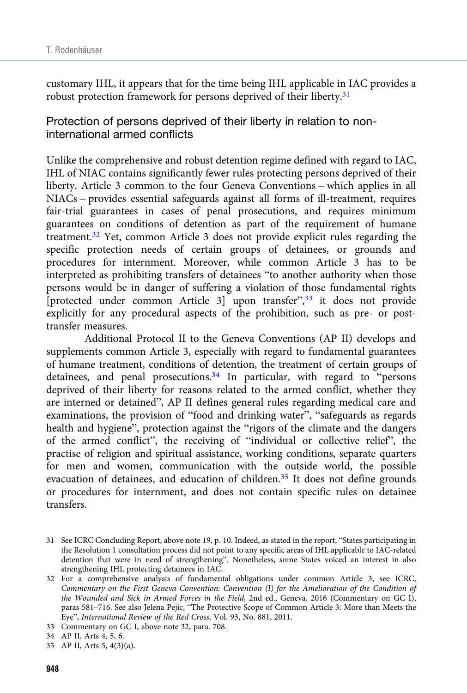customary IHL, it appears that for the time being IHL applicable in IAC provides a robust protection framework for persons deprived of their liberty.<sup>31</sup>

Protection of persons deprived of their liberty in relation to noninternational armed conflicts

Unlike the comprehensive and robust detention regime defined with regard to IAC, IHL of NIAC contains significantly fewer rules protecting persons deprived of their liberty. Article 3 common to the four Geneva Conventions – which applies in all NIACs – provides essential safeguards against all forms of ill-treatment, requires fair-trial guarantees in cases of penal prosecutions, and requires minimum guarantees on conditions of detention as part of the requirement of humane treatment.32 Yet, common Article 3 does not provide explicit rules regarding the specific protection needs of certain groups of detainees, or grounds and procedures for internment. Moreover, while common Article 3 has to be interpreted as prohibiting transfers of detainees "to another authority when those persons would be in danger of suffering a violation of those fundamental rights [protected under common Article 3] upon transfer", 33 it does not provide explicitly for any procedural aspects of the prohibition, such as pre- or posttransfer measures.

Additional Protocol II to the Geneva Conventions (AP II) develops and supplements common Article 3, especially with regard to fundamental guarantees of humane treatment, conditions of detention, the treatment of certain groups of detainees, and penal prosecutions.<sup>34</sup> In particular, with regard to "persons deprived of their liberty for reasons related to the armed conflict, whether they are interned or detained", AP II defines general rules regarding medical care and examinations, the provision of "food and drinking water", "safeguards as regards health and hygiene", protection against the "rigors of the climate and the dangers of the armed conflict", the receiving of "individual or collective relief", the practise of religion and spiritual assistance, working conditions, separate quarters for men and women, communication with the outside world, the possible evacuation of detainees, and education of children.<sup>35</sup> It does not define grounds or procedures for internment, and does not contain specific rules on detainee transfers.

<sup>31</sup> See ICRC Concluding Report, above note 19, p. 10. Indeed, as stated in the report, "States participating in the Resolution 1 consultation process did not point to any specific areas of IHL applicable to IAC-related detention that were in need of strengthening". Nonetheless, some States voiced an interest in also strengthening IHL protecting detainees in IAC.

<sup>32</sup> For a comprehensive analysis of fundamental obligations under common Article 3, see ICRC, Commentary on the First Geneva Convention: Convention (I) for the Amelioration of the Condition of the Wounded and Sick in Armed Forces in the Field, 2nd ed., Geneva, 2016 (Commentary on GC I), paras 581–716. See also Jelena Pejic, "The Protective Scope of Common Article 3: More than Meets the Eye", International Review of the Red Cross, Vol. 93, No. 881, 2011.

<sup>33</sup> Commentary on GC I, above note 32, para. 708.

<sup>34</sup> AP II, Arts 4, 5, 6.

<sup>35</sup> AP II, Arts 5, 4(3)(a).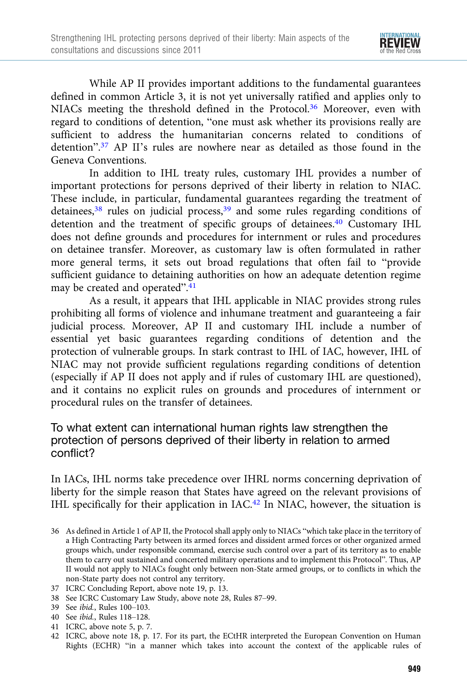

While AP II provides important additions to the fundamental guarantees defined in common Article 3, it is not yet universally ratified and applies only to NIACs meeting the threshold defined in the Protocol.<sup>36</sup> Moreover, even with regard to conditions of detention, "one must ask whether its provisions really are sufficient to address the humanitarian concerns related to conditions of detention". 37 AP II's rules are nowhere near as detailed as those found in the Geneva Conventions.

In addition to IHL treaty rules, customary IHL provides a number of important protections for persons deprived of their liberty in relation to NIAC. These include, in particular, fundamental guarantees regarding the treatment of detainees,<sup>38</sup> rules on judicial process,<sup>39</sup> and some rules regarding conditions of detention and the treatment of specific groups of detainees.<sup>40</sup> Customary IHL does not define grounds and procedures for internment or rules and procedures on detainee transfer. Moreover, as customary law is often formulated in rather more general terms, it sets out broad regulations that often fail to "provide sufficient guidance to detaining authorities on how an adequate detention regime may be created and operated".<sup>41</sup>

As a result, it appears that IHL applicable in NIAC provides strong rules prohibiting all forms of violence and inhumane treatment and guaranteeing a fair judicial process. Moreover, AP II and customary IHL include a number of essential yet basic guarantees regarding conditions of detention and the protection of vulnerable groups. In stark contrast to IHL of IAC, however, IHL of NIAC may not provide sufficient regulations regarding conditions of detention (especially if AP II does not apply and if rules of customary IHL are questioned), and it contains no explicit rules on grounds and procedures of internment or procedural rules on the transfer of detainees.

To what extent can international human rights law strengthen the protection of persons deprived of their liberty in relation to armed conflict?

In IACs, IHL norms take precedence over IHRL norms concerning deprivation of liberty for the simple reason that States have agreed on the relevant provisions of IHL specifically for their application in IAC.42 In NIAC, however, the situation is

- 37 ICRC Concluding Report, above note 19, p. 13.
- 38 See ICRC Customary Law Study, above note 28, Rules 87–99.
- 39 See ibid., Rules 100–103.
- 40 See ibid., Rules 118–128.
- 41 ICRC, above note 5, p. 7.
- 42 ICRC, above note 18, p. 17. For its part, the ECtHR interpreted the European Convention on Human Rights (ECHR) "in a manner which takes into account the context of the applicable rules of

<sup>36</sup> As defined in Article 1 of AP II, the Protocol shall apply only to NIACs "which take place in the territory of a High Contracting Party between its armed forces and dissident armed forces or other organized armed groups which, under responsible command, exercise such control over a part of its territory as to enable them to carry out sustained and concerted military operations and to implement this Protocol". Thus, AP II would not apply to NIACs fought only between non-State armed groups, or to conflicts in which the non-State party does not control any territory.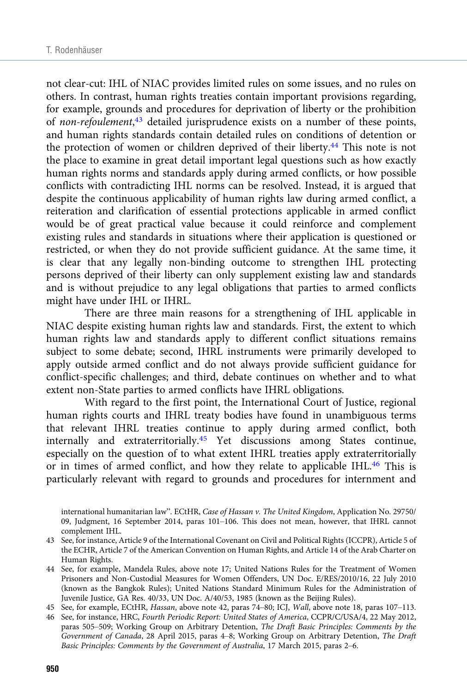not clear-cut: IHL of NIAC provides limited rules on some issues, and no rules on others. In contrast, human rights treaties contain important provisions regarding, for example, grounds and procedures for deprivation of liberty or the prohibition of non-refoulement,<sup>43</sup> detailed jurisprudence exists on a number of these points, and human rights standards contain detailed rules on conditions of detention or the protection of women or children deprived of their liberty.<sup>44</sup> This note is not the place to examine in great detail important legal questions such as how exactly human rights norms and standards apply during armed conflicts, or how possible conflicts with contradicting IHL norms can be resolved. Instead, it is argued that despite the continuous applicability of human rights law during armed conflict, a reiteration and clarification of essential protections applicable in armed conflict would be of great practical value because it could reinforce and complement existing rules and standards in situations where their application is questioned or restricted, or when they do not provide sufficient guidance. At the same time, it is clear that any legally non-binding outcome to strengthen IHL protecting persons deprived of their liberty can only supplement existing law and standards and is without prejudice to any legal obligations that parties to armed conflicts might have under IHL or IHRL.

There are three main reasons for a strengthening of IHL applicable in NIAC despite existing human rights law and standards. First, the extent to which human rights law and standards apply to different conflict situations remains subject to some debate; second, IHRL instruments were primarily developed to apply outside armed conflict and do not always provide sufficient guidance for conflict-specific challenges; and third, debate continues on whether and to what extent non-State parties to armed conflicts have IHRL obligations.

With regard to the first point, the International Court of Justice, regional human rights courts and IHRL treaty bodies have found in unambiguous terms that relevant IHRL treaties continue to apply during armed conflict, both internally and extraterritorially.45 Yet discussions among States continue, especially on the question of to what extent IHRL treaties apply extraterritorially or in times of armed conflict, and how they relate to applicable IHL.46 This is particularly relevant with regard to grounds and procedures for internment and

international humanitarian law". ECtHR, Case of Hassan v. The United Kingdom, Application No. 29750/ 09, Judgment, 16 September 2014, paras 101–106. This does not mean, however, that IHRL cannot complement IHL.

- 43 See, for instance, Article 9 of the International Covenant on Civil and Political Rights (ICCPR), Article 5 of the ECHR, Article 7 of the American Convention on Human Rights, and Article 14 of the Arab Charter on Human Rights.
- 44 See, for example, Mandela Rules, above note 17; United Nations Rules for the Treatment of Women Prisoners and Non-Custodial Measures for Women Offenders, UN Doc. E/RES/2010/16, 22 July 2010 (known as the Bangkok Rules); United Nations Standard Minimum Rules for the Administration of Juvenile Justice, GA Res. 40/33, UN Doc. A/40/53, 1985 (known as the Beijing Rules).
- 45 See, for example, ECtHR, Hassan, above note 42, paras 74–80; ICJ, Wall, above note 18, paras 107–113.
- 46 See, for instance, HRC, Fourth Periodic Report: United States of America, CCPR/C/USA/4, 22 May 2012, paras 505–509; Working Group on Arbitrary Detention, The Draft Basic Principles: Comments by the Government of Canada, 28 April 2015, paras 4–8; Working Group on Arbitrary Detention, The Draft Basic Principles: Comments by the Government of Australia, 17 March 2015, paras 2–6.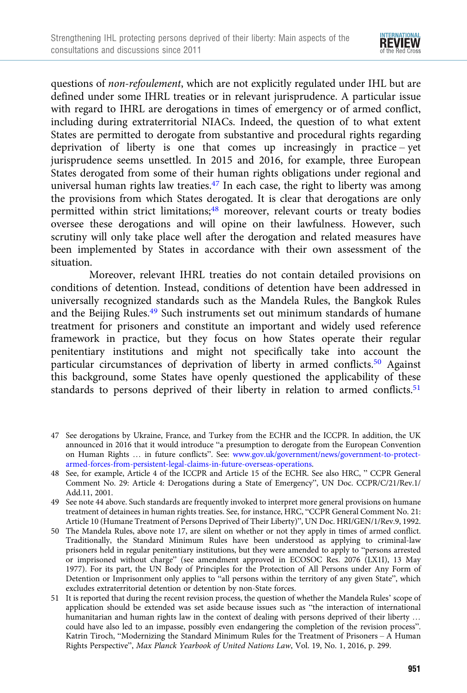

questions of *non-refoulement*, which are not explicitly regulated under IHL but are defined under some IHRL treaties or in relevant jurisprudence. A particular issue with regard to IHRL are derogations in times of emergency or of armed conflict, including during extraterritorial NIACs. Indeed, the question of to what extent States are permitted to derogate from substantive and procedural rights regarding deprivation of liberty is one that comes up increasingly in practice – yet jurisprudence seems unsettled. In 2015 and 2016, for example, three European States derogated from some of their human rights obligations under regional and universal human rights law treaties.<sup>47</sup> In each case, the right to liberty was among the provisions from which States derogated. It is clear that derogations are only permitted within strict limitations;<sup>48</sup> moreover, relevant courts or treaty bodies oversee these derogations and will opine on their lawfulness. However, such scrutiny will only take place well after the derogation and related measures have been implemented by States in accordance with their own assessment of the situation.

Moreover, relevant IHRL treaties do not contain detailed provisions on conditions of detention. Instead, conditions of detention have been addressed in universally recognized standards such as the Mandela Rules, the Bangkok Rules and the Beijing Rules.49 Such instruments set out minimum standards of humane treatment for prisoners and constitute an important and widely used reference framework in practice, but they focus on how States operate their regular penitentiary institutions and might not specifically take into account the particular circumstances of deprivation of liberty in armed conflicts.50 Against this background, some States have openly questioned the applicability of these standards to persons deprived of their liberty in relation to armed conflicts.<sup>51</sup>

- 47 See derogations by Ukraine, France, and Turkey from the ECHR and the ICCPR. In addition, the UK announced in 2016 that it would introduce "a presumption to derogate from the European Convention on Human Rights … in future conflicts". See: [www.gov.uk/government/news/government-to-protect](http://www.gov.uk/government/news/government-to-protect-armed-forces-from-persistent-legal-claims-in-future-overseas-operations)[armed-forces-from-persistent-legal-claims-in-future-overseas-operations](http://www.gov.uk/government/news/government-to-protect-armed-forces-from-persistent-legal-claims-in-future-overseas-operations).
- 48 See, for example, Article 4 of the ICCPR and Article 15 of the ECHR. See also HRC, " CCPR General Comment No. 29: Article 4: Derogations during a State of Emergency", UN Doc. CCPR/C/21/Rev.1/ Add.11, 2001.
- 49 See note 44 above. Such standards are frequently invoked to interpret more general provisions on humane treatment of detainees in human rights treaties. See, for instance, HRC, "CCPR General Comment No. 21: Article 10 (Humane Treatment of Persons Deprived of Their Liberty)", UN Doc. HRI/GEN/1/Rev.9, 1992.

50 The Mandela Rules, above note 17, are silent on whether or not they apply in times of armed conflict. Traditionally, the Standard Minimum Rules have been understood as applying to criminal-law prisoners held in regular penitentiary institutions, but they were amended to apply to "persons arrested or imprisoned without charge" (see amendment approved in ECOSOC Res. 2076 (LX1I), 13 May 1977). For its part, the UN Body of Principles for the Protection of All Persons under Any Form of Detention or Imprisonment only applies to "all persons within the territory of any given State", which excludes extraterritorial detention or detention by non-State forces.

51 It is reported that during the recent revision process, the question of whether the Mandela Rules' scope of application should be extended was set aside because issues such as "the interaction of international humanitarian and human rights law in the context of dealing with persons deprived of their liberty … could have also led to an impasse, possibly even endangering the completion of the revision process". Katrin Tiroch, "Modernizing the Standard Minimum Rules for the Treatment of Prisoners – A Human Rights Perspective", Max Planck Yearbook of United Nations Law, Vol. 19, No. 1, 2016, p. 299.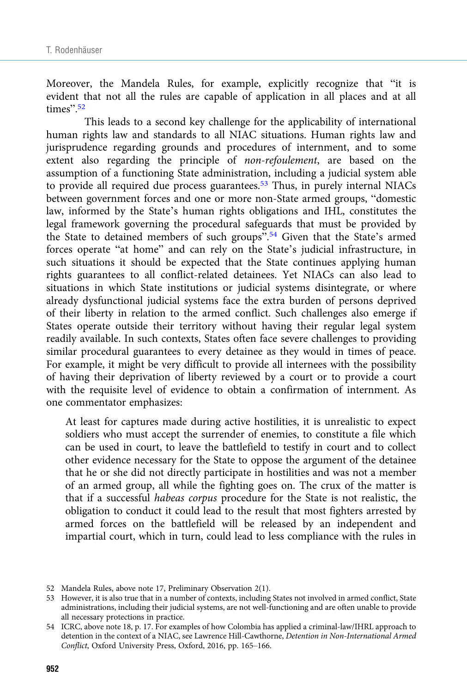Moreover, the Mandela Rules, for example, explicitly recognize that "it is evident that not all the rules are capable of application in all places and at all times". 52

This leads to a second key challenge for the applicability of international human rights law and standards to all NIAC situations. Human rights law and jurisprudence regarding grounds and procedures of internment, and to some extent also regarding the principle of non-refoulement, are based on the assumption of a functioning State administration, including a judicial system able to provide all required due process guarantees.<sup>53</sup> Thus, in purely internal NIACs between government forces and one or more non-State armed groups, "domestic law, informed by the State's human rights obligations and IHL, constitutes the legal framework governing the procedural safeguards that must be provided by the State to detained members of such groups".<sup>54</sup> Given that the State's armed forces operate "at home" and can rely on the State's judicial infrastructure, in such situations it should be expected that the State continues applying human rights guarantees to all conflict-related detainees. Yet NIACs can also lead to situations in which State institutions or judicial systems disintegrate, or where already dysfunctional judicial systems face the extra burden of persons deprived of their liberty in relation to the armed conflict. Such challenges also emerge if States operate outside their territory without having their regular legal system readily available. In such contexts, States often face severe challenges to providing similar procedural guarantees to every detainee as they would in times of peace. For example, it might be very difficult to provide all internees with the possibility of having their deprivation of liberty reviewed by a court or to provide a court with the requisite level of evidence to obtain a confirmation of internment. As one commentator emphasizes:

At least for captures made during active hostilities, it is unrealistic to expect soldiers who must accept the surrender of enemies, to constitute a file which can be used in court, to leave the battlefield to testify in court and to collect other evidence necessary for the State to oppose the argument of the detainee that he or she did not directly participate in hostilities and was not a member of an armed group, all while the fighting goes on. The crux of the matter is that if a successful habeas corpus procedure for the State is not realistic, the obligation to conduct it could lead to the result that most fighters arrested by armed forces on the battlefield will be released by an independent and impartial court, which in turn, could lead to less compliance with the rules in

<sup>52</sup> Mandela Rules, above note 17, Preliminary Observation 2(1).

<sup>53</sup> However, it is also true that in a number of contexts, including States not involved in armed conflict, State administrations, including their judicial systems, are not well-functioning and are often unable to provide all necessary protections in practice.

<sup>54</sup> ICRC, above note 18, p. 17. For examples of how Colombia has applied a criminal-law/IHRL approach to detention in the context of a NIAC, see Lawrence Hill-Cawthorne, Detention in Non-International Armed Conflict, Oxford University Press, Oxford, 2016, pp. 165–166.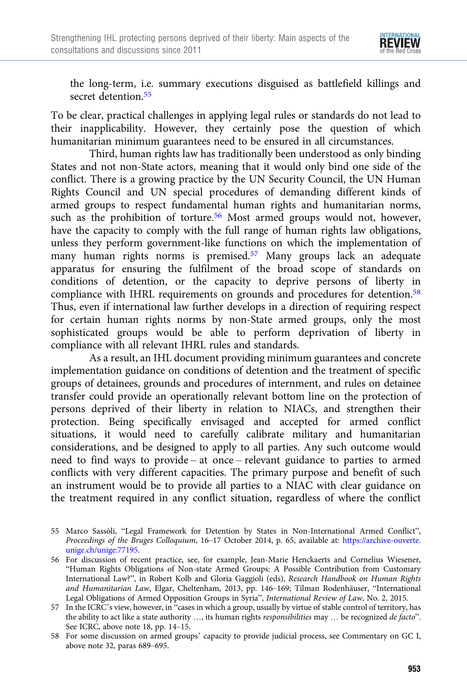

the long-term, i.e. summary executions disguised as battlefield killings and secret detention.<sup>55</sup>

To be clear, practical challenges in applying legal rules or standards do not lead to their inapplicability. However, they certainly pose the question of which humanitarian minimum guarantees need to be ensured in all circumstances.

Third, human rights law has traditionally been understood as only binding States and not non-State actors, meaning that it would only bind one side of the conflict. There is a growing practice by the UN Security Council, the UN Human Rights Council and UN special procedures of demanding different kinds of armed groups to respect fundamental human rights and humanitarian norms, such as the prohibition of torture.<sup>56</sup> Most armed groups would not, however, have the capacity to comply with the full range of human rights law obligations, unless they perform government-like functions on which the implementation of many human rights norms is premised.<sup>57</sup> Many groups lack an adequate apparatus for ensuring the fulfilment of the broad scope of standards on conditions of detention, or the capacity to deprive persons of liberty in compliance with IHRL requirements on grounds and procedures for detention.<sup>58</sup> Thus, even if international law further develops in a direction of requiring respect for certain human rights norms by non-State armed groups, only the most sophisticated groups would be able to perform deprivation of liberty in compliance with all relevant IHRL rules and standards.

As a result, an IHL document providing minimum guarantees and concrete implementation guidance on conditions of detention and the treatment of specific groups of detainees, grounds and procedures of internment, and rules on detainee transfer could provide an operationally relevant bottom line on the protection of persons deprived of their liberty in relation to NIACs, and strengthen their protection. Being specifically envisaged and accepted for armed conflict situations, it would need to carefully calibrate military and humanitarian considerations, and be designed to apply to all parties. Any such outcome would need to find ways to provide – at once – relevant guidance to parties to armed conflicts with very different capacities. The primary purpose and benefit of such an instrument would be to provide all parties to a NIAC with clear guidance on the treatment required in any conflict situation, regardless of where the conflict

<sup>55</sup> Marco Sassòli, "Legal Framework for Detention by States in Non-International Armed Conflict", Proceedings of the Bruges Colloquium, 16–17 October 2014, p. 65, available at: [https://archive-ouverte.](https://archive-ouverte.unige.ch/unige:77195) [unige.ch/unige:77195.](https://archive-ouverte.unige.ch/unige:77195)

<sup>56</sup> For discussion of recent practice, see, for example, Jean-Marie Henckaerts and Cornelius Wiesener, "Human Rights Obligations of Non-state Armed Groups: A Possible Contribution from Customary International Law?", in Robert Kolb and Gloria Gaggioli (eds), Research Handbook on Human Rights and Humanitarian Law, Elgar, Cheltenham, 2013, pp. 146–169; Tilman Rodenhäuser, "International Legal Obligations of Armed Opposition Groups in Syria", International Review of Law, No. 2, 2015.

<sup>57</sup> In the ICRC's view, however, in "cases in which a group, usually by virtue of stable control of territory, has the ability to act like a state authority … , its human rights responsibilities may … be recognized de facto". See ICRC, above note 18, pp. 14–15.

<sup>58</sup> For some discussion on armed groups' capacity to provide judicial process, see Commentary on GC I, above note 32, paras 689–695.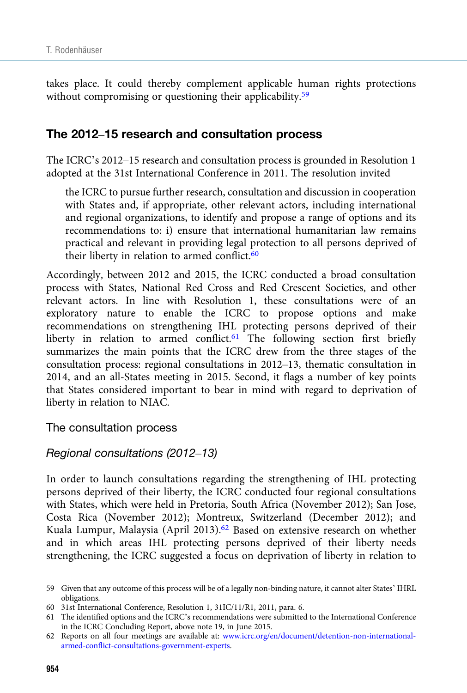takes place. It could thereby complement applicable human rights protections without compromising or questioning their applicability.<sup>59</sup>

## The 2012–15 research and consultation process

The ICRC's 2012–15 research and consultation process is grounded in Resolution 1 adopted at the 31st International Conference in 2011. The resolution invited

the ICRC to pursue further research, consultation and discussion in cooperation with States and, if appropriate, other relevant actors, including international and regional organizations, to identify and propose a range of options and its recommendations to: i) ensure that international humanitarian law remains practical and relevant in providing legal protection to all persons deprived of their liberty in relation to armed conflict.<sup>60</sup>

Accordingly, between 2012 and 2015, the ICRC conducted a broad consultation process with States, National Red Cross and Red Crescent Societies, and other relevant actors. In line with Resolution 1, these consultations were of an exploratory nature to enable the ICRC to propose options and make recommendations on strengthening IHL protecting persons deprived of their liberty in relation to armed conflict. $61$  The following section first briefly summarizes the main points that the ICRC drew from the three stages of the consultation process: regional consultations in 2012–13, thematic consultation in 2014, and an all-States meeting in 2015. Second, it flags a number of key points that States considered important to bear in mind with regard to deprivation of liberty in relation to NIAC.

The consultation process

## Regional consultations (2012–13)

In order to launch consultations regarding the strengthening of IHL protecting persons deprived of their liberty, the ICRC conducted four regional consultations with States, which were held in Pretoria, South Africa (November 2012); San Jose, Costa Rica (November 2012); Montreux, Switzerland (December 2012); and Kuala Lumpur, Malaysia (April 2013).<sup>62</sup> Based on extensive research on whether and in which areas IHL protecting persons deprived of their liberty needs strengthening, the ICRC suggested a focus on deprivation of liberty in relation to

<sup>59</sup> Given that any outcome of this process will be of a legally non-binding nature, it cannot alter States' IHRL obligations.

<sup>60 31</sup>st International Conference, Resolution 1, 31IC/11/R1, 2011, para. 6.

<sup>61</sup> The identified options and the ICRC's recommendations were submitted to the International Conference in the ICRC Concluding Report, above note 19, in June 2015.

<sup>62</sup> Reports on all four meetings are available at: [www.icrc.org/en/document/detention-non-international](http://www.icrc.org/en/document/detention-non-international-armed-conflict-consultations-government-experts)[armed-conflict-consultations-government-experts](http://www.icrc.org/en/document/detention-non-international-armed-conflict-consultations-government-experts).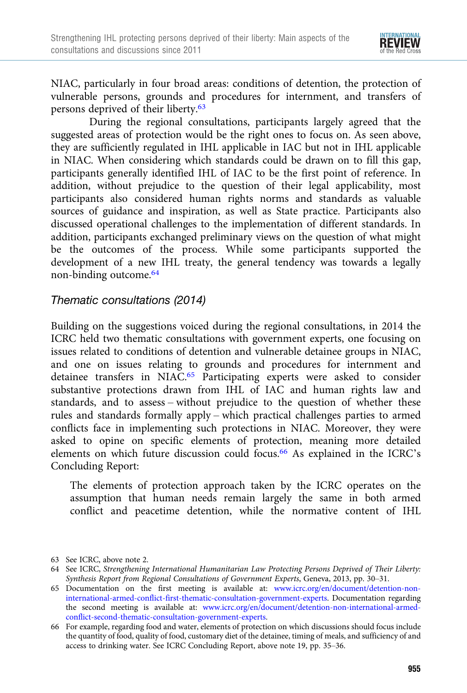

NIAC, particularly in four broad areas: conditions of detention, the protection of vulnerable persons, grounds and procedures for internment, and transfers of persons deprived of their liberty.63

During the regional consultations, participants largely agreed that the suggested areas of protection would be the right ones to focus on. As seen above, they are sufficiently regulated in IHL applicable in IAC but not in IHL applicable in NIAC. When considering which standards could be drawn on to fill this gap, participants generally identified IHL of IAC to be the first point of reference. In addition, without prejudice to the question of their legal applicability, most participants also considered human rights norms and standards as valuable sources of guidance and inspiration, as well as State practice. Participants also discussed operational challenges to the implementation of different standards. In addition, participants exchanged preliminary views on the question of what might be the outcomes of the process. While some participants supported the development of a new IHL treaty, the general tendency was towards a legally non-binding outcome.64

## Thematic consultations (2014)

Building on the suggestions voiced during the regional consultations, in 2014 the ICRC held two thematic consultations with government experts, one focusing on issues related to conditions of detention and vulnerable detainee groups in NIAC, and one on issues relating to grounds and procedures for internment and detainee transfers in NIAC.65 Participating experts were asked to consider substantive protections drawn from IHL of IAC and human rights law and standards, and to assess – without prejudice to the question of whether these rules and standards formally apply – which practical challenges parties to armed conflicts face in implementing such protections in NIAC. Moreover, they were asked to opine on specific elements of protection, meaning more detailed elements on which future discussion could focus.<sup>66</sup> As explained in the ICRC's Concluding Report:

The elements of protection approach taken by the ICRC operates on the assumption that human needs remain largely the same in both armed conflict and peacetime detention, while the normative content of IHL

<sup>63</sup> See ICRC, above note 2.

<sup>64</sup> See ICRC, Strengthening International Humanitarian Law Protecting Persons Deprived of Their Liberty: Synthesis Report from Regional Consultations of Government Experts, Geneva, 2013, pp. 30–31.

<sup>65</sup> Documentation on the first meeting is available at: [www.icrc.org/en/document/detention-non](http://www.icrc.org/en/document/detention-non-international-armed-conflict-first-thematic-consultation-government-experts)[international-armed-conflict-first-thematic-consultation-government-experts.](http://www.icrc.org/en/document/detention-non-international-armed-conflict-first-thematic-consultation-government-experts) Documentation regarding the second meeting is available at: [www.icrc.org/en/document/detention-non-international-armed](http://www.icrc.org/en/document/detention-non-international-armed-conflict-second-thematic-consultation-government-experts)[conflict-second-thematic-consultation-government-experts](http://www.icrc.org/en/document/detention-non-international-armed-conflict-second-thematic-consultation-government-experts).

<sup>66</sup> For example, regarding food and water, elements of protection on which discussions should focus include the quantity of food, quality of food, customary diet of the detainee, timing of meals, and sufficiency of and access to drinking water. See ICRC Concluding Report, above note 19, pp. 35–36.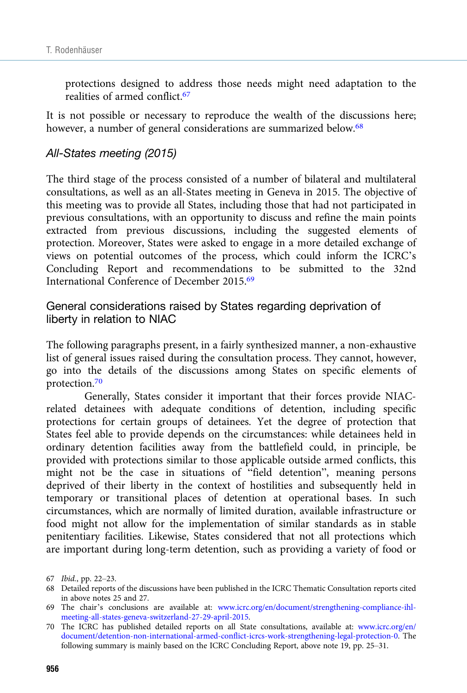protections designed to address those needs might need adaptation to the realities of armed conflict.<sup>67</sup>

It is not possible or necessary to reproduce the wealth of the discussions here; however, a number of general considerations are summarized below.<sup>68</sup>

## All-States meeting (2015)

The third stage of the process consisted of a number of bilateral and multilateral consultations, as well as an all-States meeting in Geneva in 2015. The objective of this meeting was to provide all States, including those that had not participated in previous consultations, with an opportunity to discuss and refine the main points extracted from previous discussions, including the suggested elements of protection. Moreover, States were asked to engage in a more detailed exchange of views on potential outcomes of the process, which could inform the ICRC's Concluding Report and recommendations to be submitted to the 32nd International Conference of December 2015.69

### General considerations raised by States regarding deprivation of liberty in relation to NIAC

The following paragraphs present, in a fairly synthesized manner, a non-exhaustive list of general issues raised during the consultation process. They cannot, however, go into the details of the discussions among States on specific elements of protection.70

Generally, States consider it important that their forces provide NIACrelated detainees with adequate conditions of detention, including specific protections for certain groups of detainees. Yet the degree of protection that States feel able to provide depends on the circumstances: while detainees held in ordinary detention facilities away from the battlefield could, in principle, be provided with protections similar to those applicable outside armed conflicts, this might not be the case in situations of "field detention", meaning persons deprived of their liberty in the context of hostilities and subsequently held in temporary or transitional places of detention at operational bases. In such circumstances, which are normally of limited duration, available infrastructure or food might not allow for the implementation of similar standards as in stable penitentiary facilities. Likewise, States considered that not all protections which are important during long-term detention, such as providing a variety of food or

<sup>67</sup> Ibid., pp. 22–23.

<sup>68</sup> Detailed reports of the discussions have been published in the ICRC Thematic Consultation reports cited in above notes 25 and 27.

<sup>69</sup> The chair's conclusions are available at: [www.icrc.org/en/document/strengthening-compliance-ihl](http://www.icrc.org/en/document/strengthening-compliance-ihl-meeting-all-states-geneva-switzerland-27-29-april-2015)[meeting-all-states-geneva-switzerland-27-29-april-2015.](http://www.icrc.org/en/document/strengthening-compliance-ihl-meeting-all-states-geneva-switzerland-27-29-april-2015)

<sup>70</sup> The ICRC has published detailed reports on all State consultations, available at: [www.icrc.org/en/](http://www.icrc.org/en/document/detention-non-international-armed-conflict-icrcs-work-strengthening-legal-protection-0) [document/detention-non-international-armed-conflict-icrcs-work-strengthening-legal-protection-0](http://www.icrc.org/en/document/detention-non-international-armed-conflict-icrcs-work-strengthening-legal-protection-0). The following summary is mainly based on the ICRC Concluding Report, above note 19, pp. 25–31.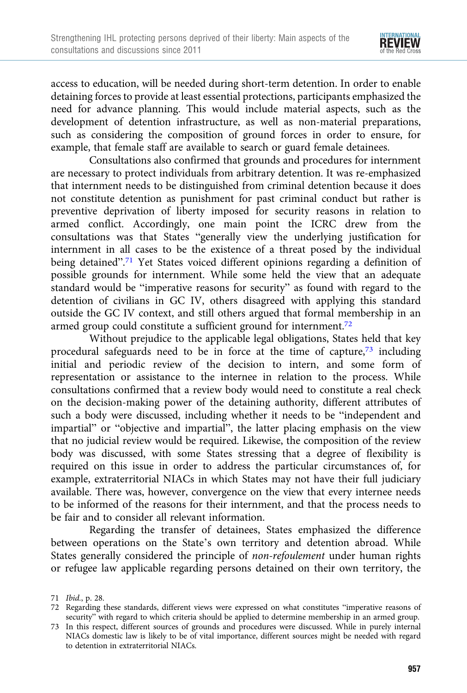

access to education, will be needed during short-term detention. In order to enable detaining forces to provide at least essential protections, participants emphasized the need for advance planning. This would include material aspects, such as the development of detention infrastructure, as well as non-material preparations, such as considering the composition of ground forces in order to ensure, for example, that female staff are available to search or guard female detainees.

Consultations also confirmed that grounds and procedures for internment are necessary to protect individuals from arbitrary detention. It was re-emphasized that internment needs to be distinguished from criminal detention because it does not constitute detention as punishment for past criminal conduct but rather is preventive deprivation of liberty imposed for security reasons in relation to armed conflict. Accordingly, one main point the ICRC drew from the consultations was that States "generally view the underlying justification for internment in all cases to be the existence of a threat posed by the individual being detained".<sup>71</sup> Yet States voiced different opinions regarding a definition of possible grounds for internment. While some held the view that an adequate standard would be "imperative reasons for security" as found with regard to the detention of civilians in GC IV, others disagreed with applying this standard outside the GC IV context, and still others argued that formal membership in an armed group could constitute a sufficient ground for internment.<sup>72</sup>

Without prejudice to the applicable legal obligations, States held that key procedural safeguards need to be in force at the time of capture,73 including initial and periodic review of the decision to intern, and some form of representation or assistance to the internee in relation to the process. While consultations confirmed that a review body would need to constitute a real check on the decision-making power of the detaining authority, different attributes of such a body were discussed, including whether it needs to be "independent and impartial" or "objective and impartial", the latter placing emphasis on the view that no judicial review would be required. Likewise, the composition of the review body was discussed, with some States stressing that a degree of flexibility is required on this issue in order to address the particular circumstances of, for example, extraterritorial NIACs in which States may not have their full judiciary available. There was, however, convergence on the view that every internee needs to be informed of the reasons for their internment, and that the process needs to be fair and to consider all relevant information.

Regarding the transfer of detainees, States emphasized the difference between operations on the State's own territory and detention abroad. While States generally considered the principle of non-refoulement under human rights or refugee law applicable regarding persons detained on their own territory, the

<sup>71</sup> Ibid., p. 28.

<sup>72</sup> Regarding these standards, different views were expressed on what constitutes "imperative reasons of security" with regard to which criteria should be applied to determine membership in an armed group.

<sup>73</sup> In this respect, different sources of grounds and procedures were discussed. While in purely internal NIACs domestic law is likely to be of vital importance, different sources might be needed with regard to detention in extraterritorial NIACs.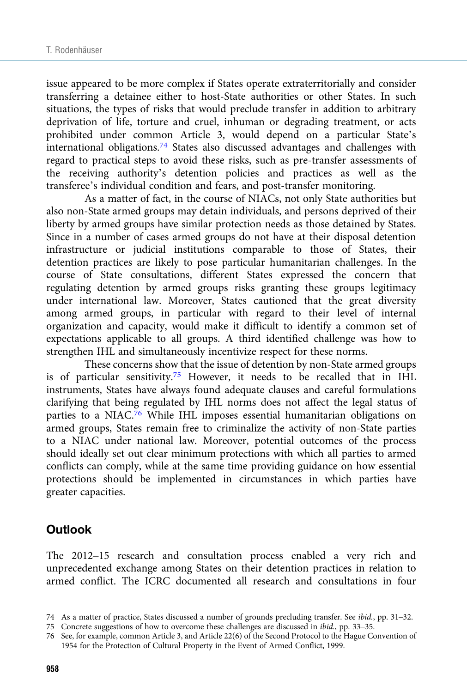issue appeared to be more complex if States operate extraterritorially and consider transferring a detainee either to host-State authorities or other States. In such situations, the types of risks that would preclude transfer in addition to arbitrary deprivation of life, torture and cruel, inhuman or degrading treatment, or acts prohibited under common Article 3, would depend on a particular State's international obligations.74 States also discussed advantages and challenges with regard to practical steps to avoid these risks, such as pre-transfer assessments of the receiving authority's detention policies and practices as well as the transferee's individual condition and fears, and post-transfer monitoring.

As a matter of fact, in the course of NIACs, not only State authorities but also non-State armed groups may detain individuals, and persons deprived of their liberty by armed groups have similar protection needs as those detained by States. Since in a number of cases armed groups do not have at their disposal detention infrastructure or judicial institutions comparable to those of States, their detention practices are likely to pose particular humanitarian challenges. In the course of State consultations, different States expressed the concern that regulating detention by armed groups risks granting these groups legitimacy under international law. Moreover, States cautioned that the great diversity among armed groups, in particular with regard to their level of internal organization and capacity, would make it difficult to identify a common set of expectations applicable to all groups. A third identified challenge was how to strengthen IHL and simultaneously incentivize respect for these norms.

These concerns show that the issue of detention by non-State armed groups is of particular sensitivity.<sup>75</sup> However, it needs to be recalled that in IHL instruments, States have always found adequate clauses and careful formulations clarifying that being regulated by IHL norms does not affect the legal status of parties to a NIAC.<sup>76</sup> While IHL imposes essential humanitarian obligations on armed groups, States remain free to criminalize the activity of non-State parties to a NIAC under national law. Moreover, potential outcomes of the process should ideally set out clear minimum protections with which all parties to armed conflicts can comply, while at the same time providing guidance on how essential protections should be implemented in circumstances in which parties have greater capacities.

## **Outlook**

The 2012–15 research and consultation process enabled a very rich and unprecedented exchange among States on their detention practices in relation to armed conflict. The ICRC documented all research and consultations in four

<sup>74</sup> As a matter of practice, States discussed a number of grounds precluding transfer. See ibid., pp. 31–32.

<sup>75</sup> Concrete suggestions of how to overcome these challenges are discussed in ibid., pp. 33–35.

<sup>76</sup> See, for example, common Article 3, and Article 22(6) of the Second Protocol to the Hague Convention of 1954 for the Protection of Cultural Property in the Event of Armed Conflict, 1999.